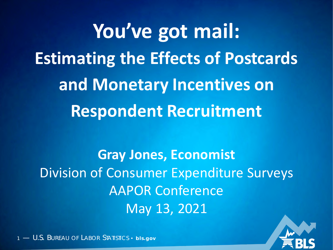**You've got mail: Estimating the Effects of Postcards and Monetary Incentives on Respondent Recruitment**

**Gray Jones, Economist** Division of Consumer Expenditure Surveys AAPOR Conference May 13, 2021

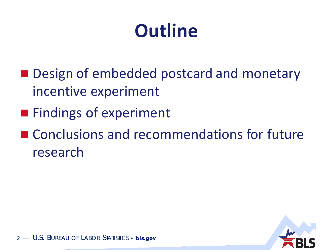### **Outline**

- **Design of embedded postcard and monetary** incentive experiment
- **Findings of experiment**
- Conclusions and recommendations for future research

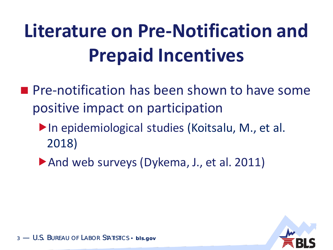# **Literature on Pre-Notification and Prepaid Incentives**

- **Pre-notification has been shown to have some** positive impact on participation
	- ▶ In epidemiological studies (Koitsalu, M., et al. 2018)
	- And web surveys (Dykema, J., et al. 2011)

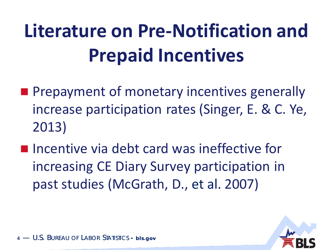# **Literature on Pre-Notification and Prepaid Incentives**

- **Prepayment of monetary incentives generally** increase participation rates (Singer, E. & C. Ye, 2013)
- **Incentive via debt card was ineffective for** increasing CE Diary Survey participation in past studies (McGrath, D., et al. 2007)



 $-$  U.S. Bureau of Labor Statistics • bis.gov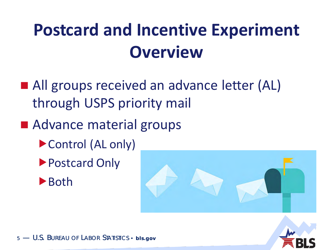### **Postcard and Incentive Experiment Overview**

- All groups received an advance letter (AL) through USPS priority mail
- Advance material groups
	- ▶ Control (AL only)
	- ▶ Postcard Only





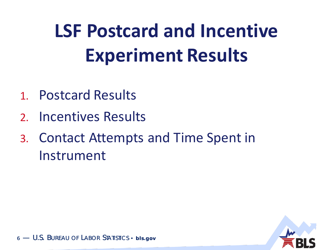# **LSF Postcard and Incentive Experiment Results**

- 1. Postcard Results
- 2. Incentives Results
- 3. Contact Attempts and Time Spent in Instrument

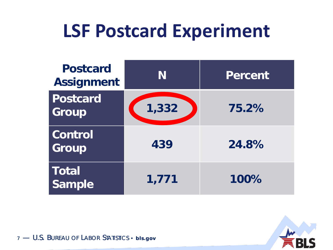### **LSF Postcard Experiment**

| <b>Postcard</b><br><b>Assignment</b> | N     | <b>Percent</b> |
|--------------------------------------|-------|----------------|
| Postcard<br>Group                    | 1,332 | 75.2%          |
| Control<br>Group                     | 439   | 24.8%          |
| <b>Total</b><br><b>Sample</b>        | 1,771 | 100%           |

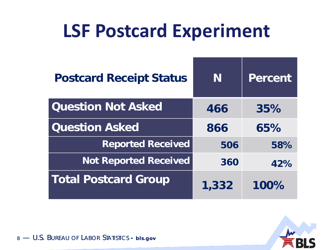### **LSF Postcard Experiment**

| <b>Postcard Receipt Status</b> | N     | Percent |
|--------------------------------|-------|---------|
| <b>Question Not Asked</b>      | 466   | 35%     |
| <b>Question Asked</b>          | 866   | 65%     |
| <b>Reported Received</b>       | 506   | 58%     |
| <b>Not Reported Received</b>   | 360   | 42%     |
| <b>Total Postcard Group</b>    | 1,332 | 100%    |

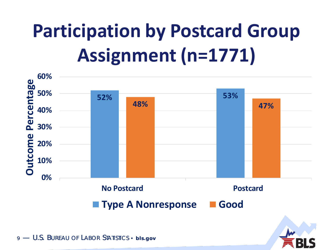### **Participation by Postcard Group Assignment (n=1771)**



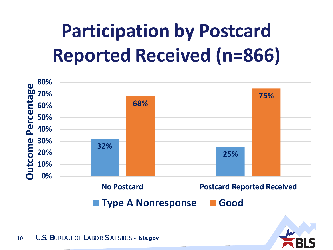### **Participation by Postcard Reported Received (n=866)**



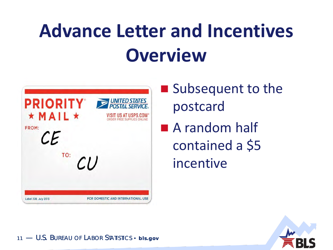### **Advance Letter and Incentives Overview**



- **Subsequent to the** postcard
- A random half contained a \$5 incentive

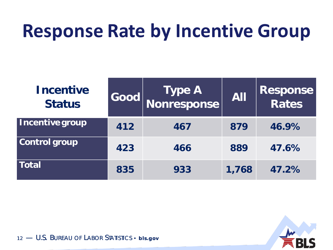#### **Response Rate by Incentive Group**

| <b>Incentive</b><br><b>Status</b> | $\textbf{Good}$ | Type A<br>Nonresponse | <b>All</b> | <b>Response<br/>Rates</b> |
|-----------------------------------|-----------------|-----------------------|------------|---------------------------|
| Incentive group                   | 412             | 467                   | 879        | 46.9%                     |
| <b>Control group</b>              | 423             | 466                   | 889        | 47.6%                     |
| <b>Total</b>                      | 835             | 933                   | 1,768      | 47.2%                     |



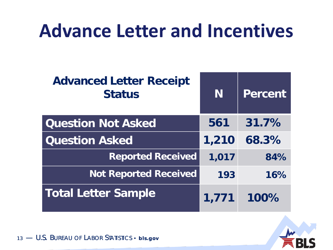### **Advance Letter and Incentives**

| <b>Advanced Letter Receipt</b><br><b>Status</b> | N     | <b>Percent</b> |
|-------------------------------------------------|-------|----------------|
| <b>Question Not Asked</b>                       | 561   | 31.7%          |
| <b>Question Asked</b>                           | 1,210 | 68.3%          |
| <b>Reported Received</b>                        | 1,017 | 84%            |
| <b>Not Reported Received</b>                    | 193   | 16%            |
| <b>Total Letter Sample</b>                      | 1,771 | 100%           |

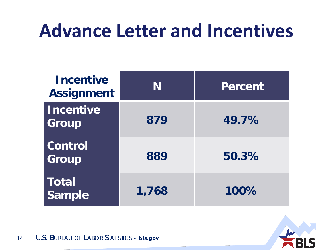#### **Advance Letter and Incentives**

| <b>Incentive</b><br><b>Assignment</b> | N     | <b>Percent</b> |
|---------------------------------------|-------|----------------|
| <b>Incentive</b><br>Group             | 879   | 49.7%          |
| <b>Control</b><br>Group               | 889   | 50.3%          |
| Total<br>Sample                       | 1,768 | 100%           |

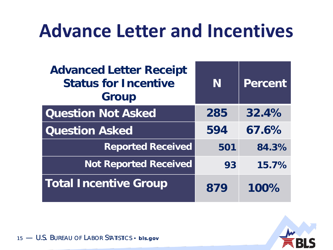#### **Advance Letter and Incentives**

| <b>Advanced Letter Receipt</b><br><b>Status for Incentive</b><br><b>Group</b> | N   | <b>Percent</b> |
|-------------------------------------------------------------------------------|-----|----------------|
| <b>Question Not Asked</b>                                                     | 285 | 32.4%          |
| <b>Question Asked</b>                                                         | 594 | 67.6%          |
| <b>Reported Received</b>                                                      | 501 | 84.3%          |
| <b>Not Reported Received</b>                                                  | 93  | 15.7%          |
| <b>Total Incentive Group</b>                                                  | 879 | 100%           |

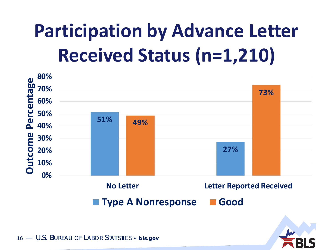### **Participation by Advance Letter Received Status (n=1,210)**

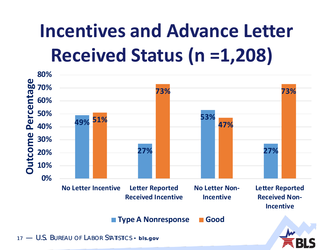### **Incentives and Advance Letter Received Status (n =1,208)**

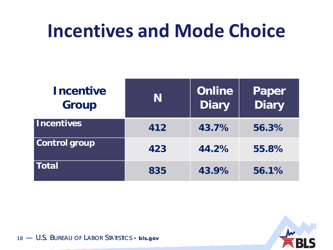#### **Incentives and Mode Choice**

| <b>Incentive</b><br><b>Group</b> | N   | <b>Online</b><br><b>Diary</b> | Paper<br>Diary |
|----------------------------------|-----|-------------------------------|----------------|
| <b>Incentives</b>                | 412 | 43.7%                         | 56.3%          |
| <b>Control group</b>             | 423 | 44.2%                         | 55.8%          |
| <b>Total</b>                     | 835 | 43.9%                         | 56.1%          |



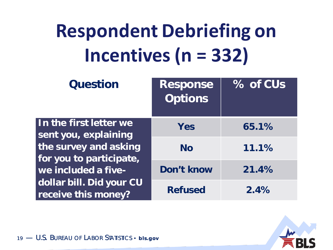# **Respondent Debriefing on Incentives (n = 332)**

| <b>Question</b>                                  | <b>Response</b><br><b>Options</b> | % of CUs |
|--------------------------------------------------|-----------------------------------|----------|
| In the first letter we<br>sent you, explaining   | Yes                               | 65.1%    |
| the survey and asking<br>for you to participate, | <b>No</b>                         | 11.1%    |
| we included a five-                              | Don't know                        | 21.4%    |
| dollar bill. Did your CU<br>receive this money?  | <b>Refused</b>                    | 2.4%     |

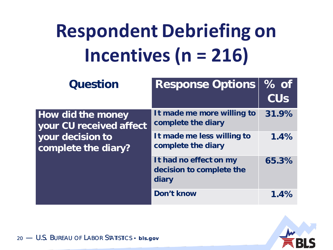# **Respondent Debriefing on Incentives (n = 216)**

| <b>Question</b>                                     | <b>Response Options</b>                                     | $%$ of<br><b>CU<sub>S</sub></b> |
|-----------------------------------------------------|-------------------------------------------------------------|---------------------------------|
| <b>How did the money</b><br>your CU received affect | It made me more willing to<br>complete the diary            | 31.9%                           |
| your decision to<br>complete the diary?             | It made me less willing to<br>complete the diary            | 1.4%                            |
|                                                     | It had no effect on my<br>decision to complete the<br>diary | 65.3%                           |
|                                                     | Don't know                                                  | 1.4%                            |

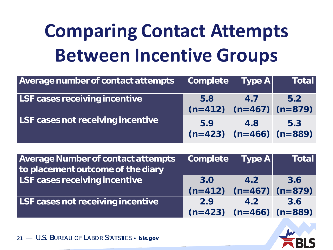## **Comparing Contact Attempts Between Incentive Groups**

| Average number of contact attempts   | Complete Type A                      |     | <b>Total</b> |
|--------------------------------------|--------------------------------------|-----|--------------|
| <b>LSF cases receiving incentive</b> | 5.8<br>$(n=412)$ $(n=467)$ $(n=879)$ | 4.7 | 5.2          |
| LSF cases not receiving incentive    | 5.9<br>$(n=423)$ $(n=466)$ $(n=889)$ | 4.8 | 5.3          |

| <b>Average Number of contact attempts</b> | Complete                      | Type A | <b>Total</b> |
|-------------------------------------------|-------------------------------|--------|--------------|
| to placement outcome of the diary         |                               |        |              |
| LSF cases receiving incentive             | 3.0                           | 4.2    | 3.6          |
|                                           | $(n=412)$ $(n=467)$ $(n=879)$ |        |              |
| LSF cases not receiving incentive         | 2.9                           | 4.2    | 3.6          |
|                                           | $(n=423)$ $(n=466)$ $(n=889)$ |        |              |

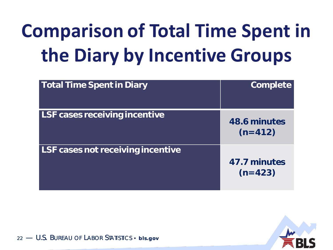# **Comparison of Total Time Spent in the Diary by Incentive Groups**

| <b>Total Time Spent in Diary</b>     | Complete                  |
|--------------------------------------|---------------------------|
| <b>LSF cases receiving incentive</b> | 48.6 minutes<br>$(n=412)$ |
| LSF cases not receiving incentive    | 47.7 minutes<br>$(n=423)$ |

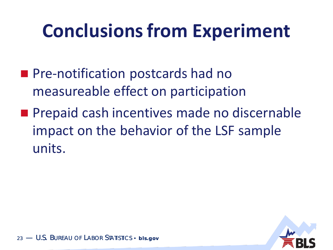### **Conclusions from Experiment**

- **Pre-notification postcards had no** measureable effect on participation
- **Prepaid cash incentives made no discernable** impact on the behavior of the LSF sample units.

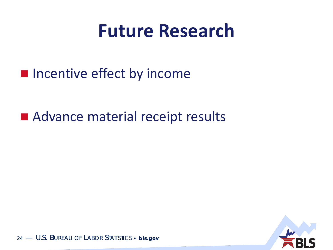#### **Future Research**

**Incentive effect by income** 

#### ■ Advance material receipt results